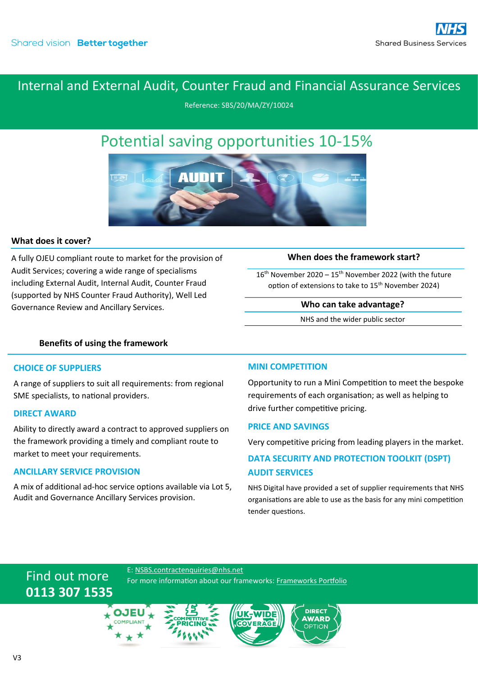## Internal and External Audit, Counter Fraud and Financial Assurance Services

Reference: SBS/20/MA/ZY/10024

# Potential saving opportunities 10-15%



#### **What does it cover?**

A fully OJEU compliant route to market for the provision of Audit Services; covering a wide range of specialisms including External Audit, Internal Audit, Counter Fraud (supported by NHS Counter Fraud Authority), Well Led Governance Review and Ancillary Services.

#### **When does the framework start?**

 $16<sup>th</sup>$  November 2020 –  $15<sup>th</sup>$  November 2022 (with the future option of extensions to take to 15<sup>th</sup> November 2024)

#### **Who can take advantage?**

NHS and the wider public sector

#### **Benefits of using the framework**

#### **CHOICE OF SUPPLIERS**

A range of suppliers to suit all requirements: from regional SME specialists, to national providers.

#### **DIRECT AWARD**

Ability to directly award a contract to approved suppliers on the framework providing a timely and compliant route to market to meet your requirements.

#### **ANCILLARY SERVICE PROVISION**

Find out more

**0113 307 1535**

A mix of additional ad-hoc service options available via Lot 5, Audit and Governance Ancillary Services provision.

#### **MINI COMPETITION**

Opportunity to run a Mini Competition to meet the bespoke requirements of each organisation; as well as helping to drive further competitive pricing.

#### **PRICE AND SAVINGS**

Very competitive pricing from leading players in the market.

### **DATA SECURITY AND PROTECTION TOOLKIT (DSPT) AUDIT SERVICES**

NHS Digital have provided a set of supplier requirements that NHS organisations are able to use as the basis for any mini competition tender questions.

#### E: [NSBS.contractenquiries@nhs.net](mailto:NSBS.contractenquiries@nhs.net?subject=Contract%20Enquiry)

For more information about our frameworks[: Frameworks Portfolio](https://www.sbs.nhs.uk/proc-framework-agreements-support)

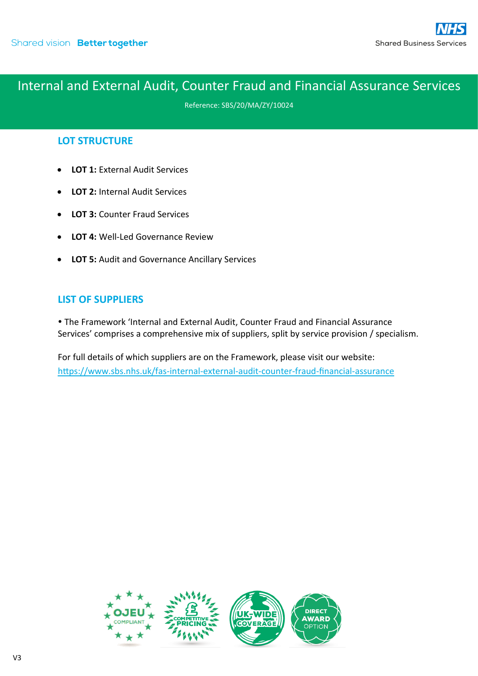## Internal and External Audit, Counter Fraud and Financial Assurance Services

Reference: SBS/20/MA/ZY/10024

## **LOT STRUCTURE**

- **LOT 1: External Audit Services**
- **LOT 2:** Internal Audit Services
- **LOT 3:** Counter Fraud Services
- **LOT 4:** Well-Led Governance Review
- **LOT 5:** Audit and Governance Ancillary Services

### **LIST OF SUPPLIERS**

 The Framework 'Internal and External Audit, Counter Fraud and Financial Assurance Services' comprises a comprehensive mix of suppliers, split by service provision / specialism.

For full details of which suppliers are on the Framework, please visit our website: <https://www.sbs.nhs.uk/fas-internal-external-audit-counter-fraud-financial-assurance>